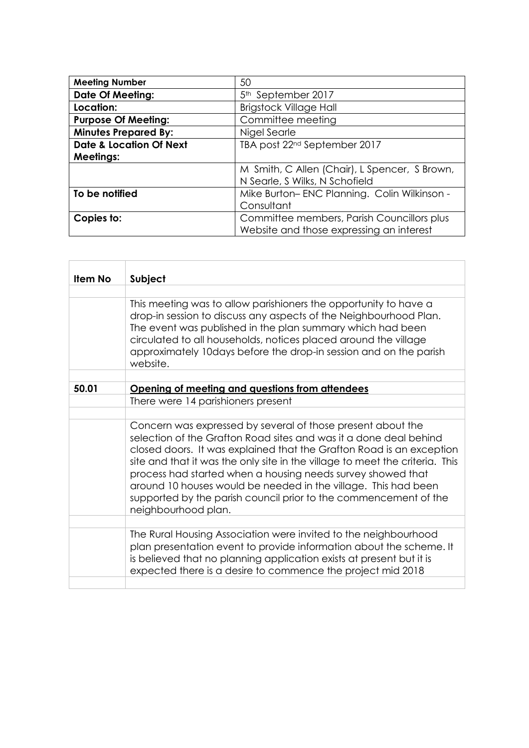| <b>Meeting Number</b>              | 50                                            |
|------------------------------------|-----------------------------------------------|
| <b>Date Of Meeting:</b>            | 5 <sup>th</sup> September 2017                |
| Location:                          | <b>Brigstock Village Hall</b>                 |
| <b>Purpose Of Meeting:</b>         | Committee meeting                             |
| <b>Minutes Prepared By:</b>        | Nigel Searle                                  |
| <b>Date &amp; Location Of Next</b> | TBA post 22 <sup>nd</sup> September 2017      |
| <b>Meetings:</b>                   |                                               |
|                                    | M Smith, C Allen (Chair), L Spencer, S Brown, |
|                                    | N Searle, S Wilks, N Schofield                |
| To be notified                     | Mike Burton-ENC Planning. Colin Wilkinson -   |
|                                    | Consultant                                    |
| Copies to:                         | Committee members, Parish Councillors plus    |
|                                    | Website and those expressing an interest      |

 $\overline{a}$ 

 $\overline{a}$ 

| <b>Item No</b> | Subject                                                                                                                                                                                                                                                                                                                                                                                                                                                                                                              |
|----------------|----------------------------------------------------------------------------------------------------------------------------------------------------------------------------------------------------------------------------------------------------------------------------------------------------------------------------------------------------------------------------------------------------------------------------------------------------------------------------------------------------------------------|
|                |                                                                                                                                                                                                                                                                                                                                                                                                                                                                                                                      |
|                | This meeting was to allow parishioners the opportunity to have a<br>drop-in session to discuss any aspects of the Neighbourhood Plan.<br>The event was published in the plan summary which had been<br>circulated to all households, notices placed around the village<br>approximately 10days before the drop-in session and on the parish<br>website.                                                                                                                                                              |
|                |                                                                                                                                                                                                                                                                                                                                                                                                                                                                                                                      |
| 50.01          | Opening of meeting and questions from attendees                                                                                                                                                                                                                                                                                                                                                                                                                                                                      |
|                | There were 14 parishioners present                                                                                                                                                                                                                                                                                                                                                                                                                                                                                   |
|                |                                                                                                                                                                                                                                                                                                                                                                                                                                                                                                                      |
|                | Concern was expressed by several of those present about the<br>selection of the Grafton Road sites and was it a done deal behind<br>closed doors. It was explained that the Grafton Road is an exception<br>site and that it was the only site in the village to meet the criteria. This<br>process had started when a housing needs survey showed that<br>around 10 houses would be needed in the village. This had been<br>supported by the parish council prior to the commencement of the<br>neighbourhood plan. |
|                |                                                                                                                                                                                                                                                                                                                                                                                                                                                                                                                      |
|                | The Rural Housing Association were invited to the neighbourhood<br>plan presentation event to provide information about the scheme. It<br>is believed that no planning application exists at present but it is<br>expected there is a desire to commence the project mid 2018                                                                                                                                                                                                                                        |
|                |                                                                                                                                                                                                                                                                                                                                                                                                                                                                                                                      |